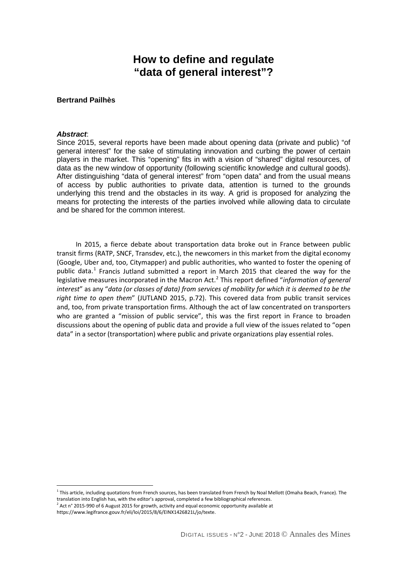# **How to define and regulate "data of general interest"?**

#### **Bertrand Pailhès**

#### *Abstract*:

Since 2015, several reports have been made about opening data (private and public) "of general interest" for the sake of stimulating innovation and curbing the power of certain players in the market. This "opening" fits in with a vision of "shared" digital resources, of data as the new window of opportunity (following scientific knowledge and cultural goods). After distinguishing "data of general interest" from "open data" and from the usual means of access by public authorities to private data, attention is turned to the grounds underlying this trend and the obstacles in its way. A grid is proposed for analyzing the means for protecting the interests of the parties involved while allowing data to circulate and be shared for the common interest.

In 2015, a fierce debate about transportation data broke out in France between public transit firms (RATP, SNCF, Transdev, etc.), the newcomers in this market from the digital economy (Google, Uber and, too, Citymapper) and public authorities, who wanted to foster the opening of public data.<sup>[1](#page-0-0)</sup> Francis Jutland submitted a report in March 2015 that cleared the way for the legislative measures incorporated in the Macron Act.<sup>[2](#page-0-1)</sup> This report defined "*information of general interest*" as any "*data (or classes of data) from services of mobility for which it is deemed to be the right time to open them*" (JUTLAND 2015, p.72). This covered data from public transit services and, too, from private transportation firms. Although the act of law concentrated on transporters who are granted a "mission of public service", this was the first report in France to broaden discussions about the opening of public data and provide a full view of the issues related to "open data" in a sector (transportation) where public and private organizations play essential roles.

 $\overline{a}$ 

<span id="page-0-0"></span> $1$  This article, including quotations from French sources, has been translated from French by Noal Mellott (Omaha Beach, France). The translation into English has, with the editor's approval, completed a few bibliographical references.

 $^2$  Act n° 2015-990 of 6 August 2015 for growth, activity and equal economic opportunity available at

<span id="page-0-1"></span>https://www.legifrance.gouv.fr/eli/loi/2015/8/6/EINX1426821L/jo/texte.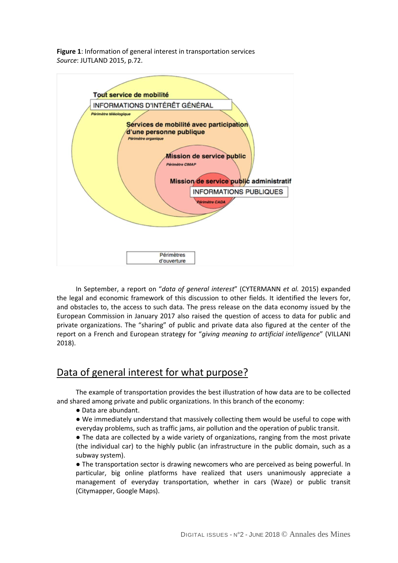**Figure 1**: Information of general interest in transportation services *Source*: JUTLAND 2015, p.72.



In September, a report on "*data of general interest*" (CYTERMANN *et al.* 2015) expanded the legal and economic framework of this discussion to other fields. It identified the levers for, and obstacles to, the access to such data. The press release on the data economy issued by the European Commission in January 2017 also raised the question of access to data for public and private organizations. The "sharing" of public and private data also figured at the center of the report on a French and European strategy for "*giving meaning to artificial intelligence*" (VILLANI 2018).

## Data of general interest for what purpose?

The example of transportation provides the best illustration of how data are to be collected and shared among private and public organizations. In this branch of the economy:

- Data are abundant.
- We immediately understand that massively collecting them would be useful to cope with everyday problems, such as traffic jams, air pollution and the operation of public transit.

● The data are collected by a wide variety of organizations, ranging from the most private (the individual car) to the highly public (an infrastructure in the public domain, such as a subway system).

• The transportation sector is drawing newcomers who are perceived as being powerful. In particular, big online platforms have realized that users unanimously appreciate a management of everyday transportation, whether in cars (Waze) or public transit (Citymapper, Google Maps).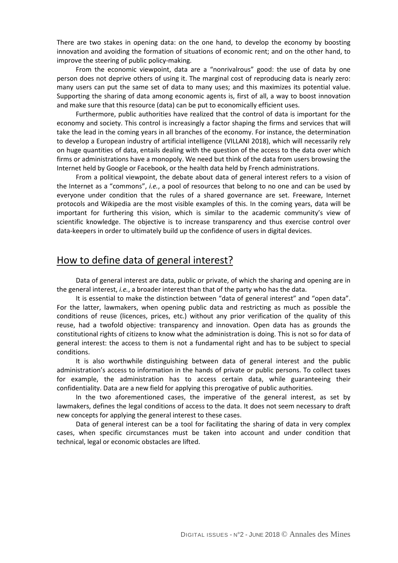There are two stakes in opening data: on the one hand, to develop the economy by boosting innovation and avoiding the formation of situations of economic rent; and on the other hand, to improve the steering of public policy-making.

From the economic viewpoint, data are a "nonrivalrous" good: the use of data by one person does not deprive others of using it. The marginal cost of reproducing data is nearly zero: many users can put the same set of data to many uses; and this maximizes its potential value. Supporting the sharing of data among economic agents is, first of all, a way to boost innovation and make sure that this resource (data) can be put to economically efficient uses.

Furthermore, public authorities have realized that the control of data is important for the economy and society. This control is increasingly a factor shaping the firms and services that will take the lead in the coming years in all branches of the economy. For instance, the determination to develop a European industry of artificial intelligence (VILLANI 2018), which will necessarily rely on huge quantities of data, entails dealing with the question of the access to the data over which firms or administrations have a monopoly. We need but think of the data from users browsing the Internet held by Google or Facebook, or the health data held by French administrations.

 From a political viewpoint, the debate about data of general interest refers to a vision of the Internet as a "commons", *i.e.*, a pool of resources that belong to no one and can be used by everyone under condition that the rules of a shared governance are set. Freeware, Internet protocols and Wikipedia are the most visible examples of this. In the coming years, data will be important for furthering this vision, which is similar to the academic community's view of scientific knowledge. The objective is to increase transparency and thus exercise control over data-keepers in order to ultimately build up the confidence of users in digital devices.

#### How to define data of general interest?

Data of general interest are data, public or private, of which the sharing and opening are in the general interest, *i.e.*, a broader interest than that of the party who has the data.

It is essential to make the distinction between "data of general interest" and "open data". For the latter, lawmakers, when opening public data and restricting as much as possible the conditions of reuse (licences, prices, etc.) without any prior verification of the quality of this reuse, had a twofold objective: transparency and innovation. Open data has as grounds the constitutional rights of citizens to know what the administration is doing. This is not so for data of general interest: the access to them is not a fundamental right and has to be subject to special conditions.

It is also worthwhile distinguishing between data of general interest and the public administration's access to information in the hands of private or public persons. To collect taxes for example, the administration has to access certain data, while guaranteeing their confidentiality. Data are a new field for applying this prerogative of public authorities.

In the two aforementioned cases, the imperative of the general interest, as set by lawmakers, defines the legal conditions of access to the data. It does not seem necessary to draft new concepts for applying the general interest to these cases.

Data of general interest can be a tool for facilitating the sharing of data in very complex cases, when specific circumstances must be taken into account and under condition that technical, legal or economic obstacles are lifted.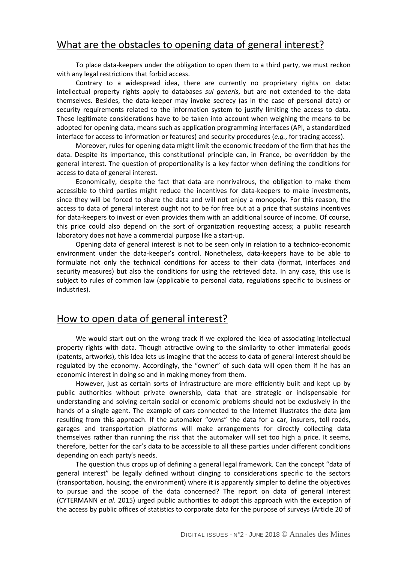## What are the obstacles to opening data of general interest?

To place data-keepers under the obligation to open them to a third party, we must reckon with any legal restrictions that forbid access.

Contrary to a widespread idea, there are currently no proprietary rights on data: intellectual property rights apply to databases *sui generis*, but are not extended to the data themselves. Besides, the data-keeper may invoke secrecy (as in the case of personal data) or security requirements related to the information system to justify limiting the access to data. These legitimate considerations have to be taken into account when weighing the means to be adopted for opening data, means such as application programming interfaces (API, a standardized interface for access to information or features) and security procedures (*e.g.*, for tracing access).

Moreover, rules for opening data might limit the economic freedom of the firm that has the data. Despite its importance, this constitutional principle can, in France, be overridden by the general interest. The question of proportionality is a key factor when defining the conditions for access to data of general interest.

Economically, despite the fact that data are nonrivalrous, the obligation to make them accessible to third parties might reduce the incentives for data-keepers to make investments, since they will be forced to share the data and will not enjoy a monopoly. For this reason, the access to data of general interest ought not to be for free but at a price that sustains incentives for data-keepers to invest or even provides them with an additional source of income. Of course, this price could also depend on the sort of organization requesting access; a public research laboratory does not have a commercial purpose like a start-up.

Opening data of general interest is not to be seen only in relation to a technico-economic environment under the data-keeper's control. Nonetheless, data-keepers have to be able to formulate not only the technical conditions for access to their data (format, interfaces and security measures) but also the conditions for using the retrieved data. In any case, this use is subject to rules of common law (applicable to personal data, regulations specific to business or industries).

### How to open data of general interest?

We would start out on the wrong track if we explored the idea of associating intellectual property rights with data. Though attractive owing to the similarity to other immaterial goods (patents, artworks), this idea lets us imagine that the access to data of general interest should be regulated by the economy. Accordingly, the "owner" of such data will open them if he has an economic interest in doing so and in making money from them.

However, just as certain sorts of infrastructure are more efficiently built and kept up by public authorities without private ownership, data that are strategic or indispensable for understanding and solving certain social or economic problems should not be exclusively in the hands of a single agent. The example of cars connected to the Internet illustrates the data jam resulting from this approach. If the automaker "owns" the data for a car, insurers, toll roads, garages and transportation platforms will make arrangements for directly collecting data themselves rather than running the risk that the automaker will set too high a price. It seems, therefore, better for the car's data to be accessible to all these parties under different conditions depending on each party's needs.

The question thus crops up of defining a general legal framework. Can the concept "data of general interest" be legally defined without clinging to considerations specific to the sectors (transportation, housing, the environment) where it is apparently simpler to define the objectives to pursue and the scope of the data concerned? The report on data of general interest (CYTERMANN *et al*. 2015) urged public authorities to adopt this approach with the exception of the access by public offices of statistics to corporate data for the purpose of surveys (Article 20 of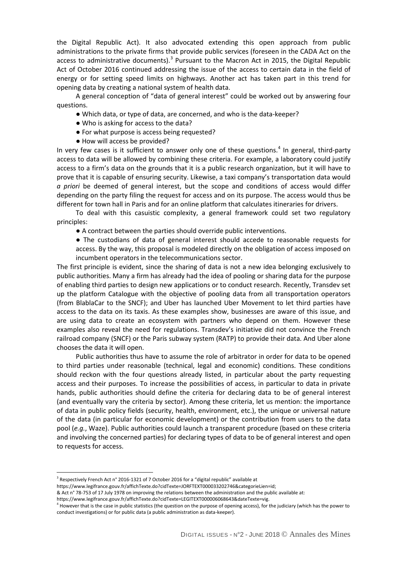the Digital Republic Act). It also advocated extending this open approach from public administrations to the private firms that provide public services (foreseen in the CADA Act on the access to administrative documents).<sup>[3](#page-4-0)</sup> Pursuant to the Macron Act in 2015, the Digital Republic Act of October 2016 continued addressing the issue of the access to certain data in the field of energy or for setting speed limits on highways. Another act has taken part in this trend for opening data by creating a national system of health data.

A general conception of "data of general interest" could be worked out by answering four questions.

- Which data, or type of data, are concerned, and who is the data-keeper?
- Who is asking for access to the data?
- For what purpose is access being requested?
- How will access be provided?

In very few cases is it sufficient to answer only one of these questions.<sup>[4](#page-4-1)</sup> In general, third-party access to data will be allowed by combining these criteria. For example, a laboratory could justify access to a firm's data on the grounds that it is a public research organization, but it will have to prove that it is capable of ensuring security. Likewise, a taxi company's transportation data would *a priori* be deemed of general interest, but the scope and conditions of access would differ depending on the party filing the request for access and on its purpose. The access would thus be different for town hall in Paris and for an online platform that calculates itineraries for drivers.

To deal with this casuistic complexity, a general framework could set two regulatory principles:

● A contract between the parties should override public interventions.

● The custodians of data of general interest should accede to reasonable requests for access. By the way, this proposal is modeled directly on the obligation of access imposed on incumbent operators in the telecommunications sector.

The first principle is evident, since the sharing of data is not a new idea belonging exclusively to public authorities. Many a firm has already had the idea of pooling or sharing data for the purpose of enabling third parties to design new applications or to conduct research. Recently, Transdev set up the platform Catalogue with the objective of pooling data from all transportation operators (from BlablaCar to the SNCF); and Uber has launched Uber Movement to let third parties have access to the data on its taxis. As these examples show, businesses are aware of this issue, and are using data to create an ecosystem with partners who depend on them. However these examples also reveal the need for regulations. Transdev's initiative did not convince the French railroad company (SNCF) or the Paris subway system (RATP) to provide their data. And Uber alone chooses the data it will open.

Public authorities thus have to assume the role of arbitrator in order for data to be opened to third parties under reasonable (technical, legal and economic) conditions. These conditions should reckon with the four questions already listed, in particular about the party requesting access and their purposes. To increase the possibilities of access, in particular to data in private hands, public authorities should define the criteria for declaring data to be of general interest (and eventually vary the criteria by sector). Among these criteria, let us mention: the importance of data in public policy fields (security, health, environment, etc.), the unique or universal nature of the data (in particular for economic development) or the contribution from users to the data pool (*e.g.*, Waze). Public authorities could launch a transparent procedure (based on these criteria and involving the concerned parties) for declaring types of data to be of general interest and open to requests for access.

 $\overline{a}$ 

<span id="page-4-0"></span><sup>&</sup>lt;sup>3</sup> Respectively French Act n° 2016-1321 of 7 October 2016 for a "digital republic" available at

https://www.legifrance.gouv.fr/affichTexte.do?cidTexte=JORFTEXT000033202746&categorieLien=id;

<sup>&</sup>amp; Act n° 78-753 of 17 July 1978 on improving the relations between the administration and the public available at:

https://www.legifrance.gouv.fr/affichTexte.do?cidTexte=LEGITEXT000006068643&dateTexte=vig.

<span id="page-4-1"></span><sup>&</sup>lt;sup>4</sup> However that is the case in public statistics (the question on the purpose of opening access), for the judiciary (which has the power to conduct investigations) or for public data (a public administration as data-keeper).